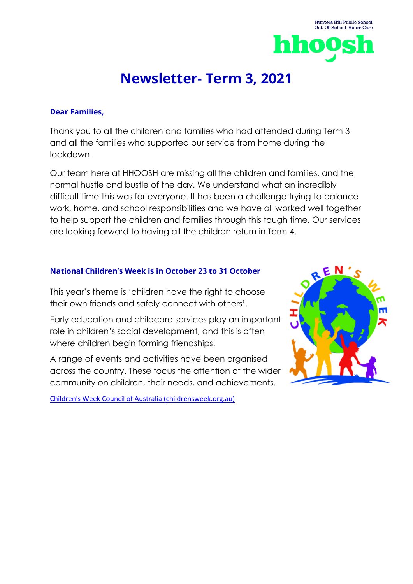

Hunters Hill Public School

# **Newsletter- Term 3, 2021**

### **Dear Families,**

Thank you to all the children and families who had attended during Term 3 and all the families who supported our service from home during the lockdown.

Our team here at HHOOSH are missing all the children and families, and the normal hustle and bustle of the day. We understand what an incredibly difficult time this was for everyone. It has been a challenge trying to balance work, home, and school responsibilities and we have all worked well together to help support the children and families through this tough time. Our services are looking forward to having all the children return in Term 4.

## **National Children's Week is in October 23 to 31 October**

This year's theme is 'children have the right to choose their own friends and safely connect with others'.

Early education and childcare services play an important role in children's social development, and this is often where children begin forming friendships.

A range of events and activities have been organised across the country. These focus the attention of the wider community on children, their needs, and achievements.

[Children's Week Council of Australia \(childrensweek.org.au\)](https://www.childrensweek.org.au/)

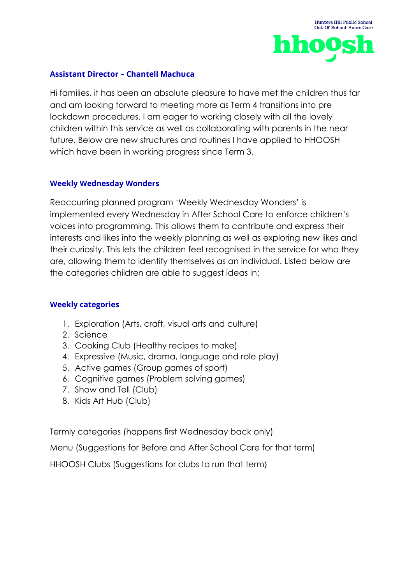### **Assistant Director – Chantell Machuca**

Hi families, it has been an absolute pleasure to have met the children thus far and am looking forward to meeting more as Term 4 transitions into pre lockdown procedures. I am eager to working closely with all the lovely children within this service as well as collaborating with parents in the near future. Below are new structures and routines I have applied to HHOOSH which have been in working progress since Term 3.

## **Weekly Wednesday Wonders**

Reoccurring planned program 'Weekly Wednesday Wonders' is implemented every Wednesday in After School Care to enforce children's voices into programming. This allows them to contribute and express their interests and likes into the weekly planning as well as exploring new likes and their curiosity. This lets the children feel recognised in the service for who they are, allowing them to identify themselves as an individual. Listed below are the categories children are able to suggest ideas in:

## **Weekly categories**

- 1. Exploration (Arts, craft, visual arts and culture)
- 2. Science
- 3. Cooking Club (Healthy recipes to make)
- 4. Expressive (Music, drama, language and role play)
- 5. Active games (Group games of sport)
- 6. Cognitive games (Problem solving games)
- 7. Show and Tell (Club)
- 8. Kids Art Hub (Club)

Termly categories (happens first Wednesday back only)

Menu (Suggestions for Before and After School Care for that term)

HHOOSH Clubs (Suggestions for clubs to run that term)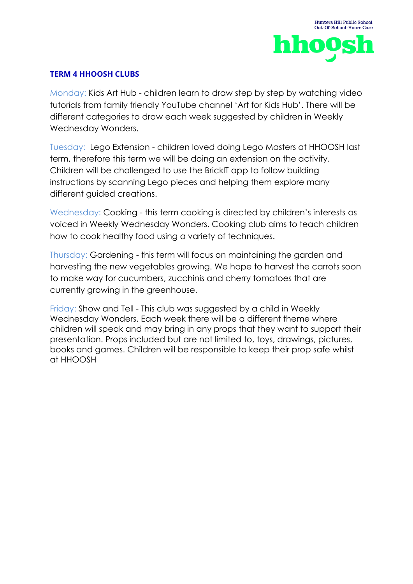## **TERM 4 HHOOSH CLUBS**

Monday: Kids Art Hub - children learn to draw step by step by watching video tutorials from family friendly YouTube channel 'Art for Kids Hub'. There will be different categories to draw each week suggested by children in Weekly Wednesday Wonders.

Tuesday: Lego Extension - children loved doing Lego Masters at HHOOSH last term, therefore this term we will be doing an extension on the activity. Children will be challenged to use the BrickIT app to follow building instructions by scanning Lego pieces and helping them explore many different guided creations.

Wednesday: Cooking - this term cooking is directed by children's interests as voiced in Weekly Wednesday Wonders. Cooking club aims to teach children how to cook healthy food using a variety of techniques.

Thursday: Gardening - this term will focus on maintaining the garden and harvesting the new vegetables growing. We hope to harvest the carrots soon to make way for cucumbers, zucchinis and cherry tomatoes that are currently growing in the greenhouse.

Friday: Show and Tell - This club was suggested by a child in Weekly Wednesday Wonders. Each week there will be a different theme where children will speak and may bring in any props that they want to support their presentation. Props included but are not limited to, toys, drawings, pictures, books and games. Children will be responsible to keep their prop safe whilst at HHOOSH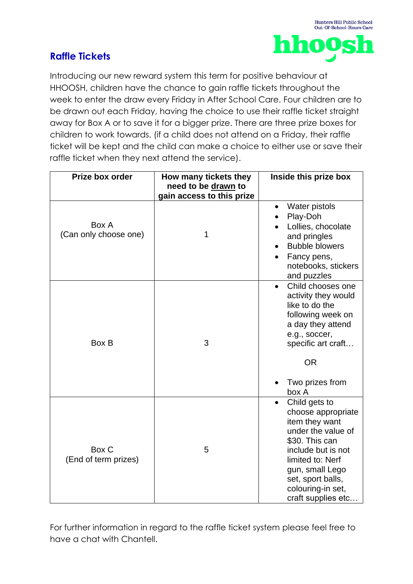# **Raffle Tickets**



Introducing our new reward system this term for positive behaviour at HHOOSH, children have the chance to gain raffle tickets throughout the week to enter the draw every Friday in After School Care. Four children are to be drawn out each Friday, having the choice to use their raffle ticket straight away for Box A or to save it for a bigger prize. There are three prize boxes for children to work towards. (if a child does not attend on a Friday, their raffle ticket will be kept and the child can make a choice to either use or save their raffle ticket when they next attend the service).

| Prize box order                | How many tickets they                            | Inside this prize box                                                                                                                                                                                                      |
|--------------------------------|--------------------------------------------------|----------------------------------------------------------------------------------------------------------------------------------------------------------------------------------------------------------------------------|
|                                | need to be drawn to<br>gain access to this prize |                                                                                                                                                                                                                            |
| Box A<br>(Can only choose one) | 1                                                | Water pistols<br>$\bullet$<br>Play-Doh<br>Lollies, chocolate<br>and pringles<br><b>Bubble blowers</b><br>Fancy pens,<br>notebooks, stickers<br>and puzzles                                                                 |
| Box B                          | 3                                                | Child chooses one<br>$\bullet$<br>activity they would<br>like to do the<br>following week on<br>a day they attend<br>e.g., soccer,<br>specific art craft<br><b>OR</b><br>Two prizes from<br>box A                          |
| Box C<br>(End of term prizes)  | 5                                                | Child gets to<br>choose appropriate<br>item they want<br>under the value of<br>\$30. This can<br>include but is not<br>limited to: Nerf<br>gun, small Lego<br>set, sport balls,<br>colouring-in set,<br>craft supplies etc |

For further information in regard to the raffle ticket system please feel free to have a chat with Chantell.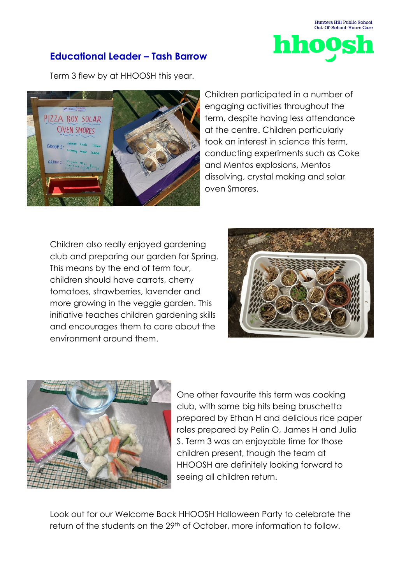

# **Educational Leader – Tash Barrow**

Term 3 flew by at HHOOSH this year.



Children participated in a number of engaging activities throughout the term, despite having less attendance at the centre. Children particularly took an interest in science this term, conducting experiments such as Coke and Mentos explosions, Mentos dissolving, crystal making and solar oven Smores.

Children also really enjoyed gardening club and preparing our garden for Spring. This means by the end of term four, children should have carrots, cherry tomatoes, strawberries, lavender and more growing in the veggie garden. This initiative teaches children gardening skills and encourages them to care about the environment around them.





One other favourite this term was cooking club, with some big hits being bruschetta prepared by Ethan H and delicious rice paper roles prepared by Pelin O, James H and Julia S. Term 3 was an enjoyable time for those children present, though the team at HHOOSH are definitely looking forward to seeing all children return.

Look out for our Welcome Back HHOOSH Halloween Party to celebrate the return of the students on the 29<sup>th</sup> of October, more information to follow.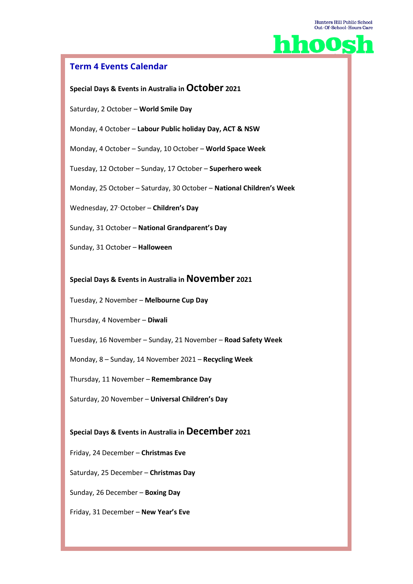

## **Term 4 Events Calendar**

#### **Special Days & Events in Australia in October <sup>2021</sup>**

Saturday, 2 October – **World Smile Day**

Monday, 4 October – **Labour Public holiday Day, ACT & NSW**

Monday, 4 October – Sunday, 10 October – **World Space Week**

Tuesday, 12 October – Sunday, 17 October – **Superhero week**

Monday, 25 October – Saturday, 30 October – **National Children's Week**

Wednesday, 27–October – **Children's Day**

Sunday, 31 October – **National Grandparent's Day**

Sunday, 31 October – **Halloween**

#### **Special Days & Events in Australia in November <sup>2021</sup>**

Tuesday, 2 November – **Melbourne Cup Day**

Thursday, 4 November – **Diwali**

Tuesday, 16 November – Sunday, 21 November – **Road Safety Week**

Monday, 8 – Sunday, 14 November 2021 – **Recycling Week**

Thursday, 11 November – **Remembrance Day**

Saturday, 20 November – **Universal Children's Day**

## **Special Days & Events in Australia in December <sup>2021</sup>**

Friday, 24 December – **Christmas Eve**

Saturday, 25 December – **Christmas Day**

Sunday, 26 December – **Boxing Day**

Friday, 31 December – **New Year's Eve**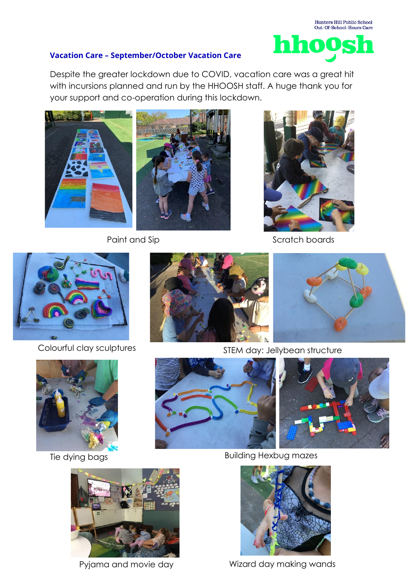## **Vacation Care – September/October Vacation Care**

Despite the greater lockdown due to COVID, vacation care was a great hit with incursions planned and run by the HHOOSH staff. A huge thank you for your support and co-operation during this lockdown.







Scratch boards



Colourful clay sculptures









STEM day: Jellybean structure



Tie dying bags **Building Hexbug mazes** 



Pyjama and movie day Wizard day making wands